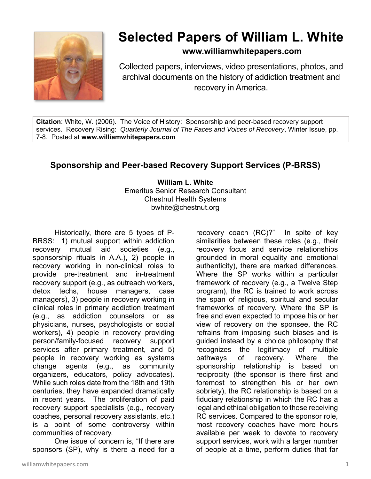

## **Selected Papers of William L. White**

## **www.williamwhitepapers.com**

Collected papers, interviews, video presentations, photos, and archival documents on the history of addiction treatment and recovery in America.

**Citation**: White, W. (2006). The Voice of History: Sponsorship and peer-based recovery support services. Recovery Rising: *Quarterly Journal of The Faces and Voices of Recovery*, Winter Issue, pp. 7-8. Posted at **www.williamwhitepapers.com** 

## **Sponsorship and Peer-based Recovery Support Services (P-BRSS)**

**William L. White**  Emeritus Senior Research Consultant Chestnut Health Systems bwhite@chestnut.org

Historically, there are 5 types of P-BRSS: 1) mutual support within addiction recovery mutual aid societies (e.g., sponsorship rituals in A.A.), 2) people in recovery working in non-clinical roles to provide pre-treatment and in-treatment recovery support (e.g., as outreach workers, detox techs, house managers, case managers), 3) people in recovery working in clinical roles in primary addiction treatment (e.g., as addiction counselors or as physicians, nurses, psychologists or social workers), 4) people in recovery providing person/family-focused recovery support services after primary treatment, and 5) people in recovery working as systems change agents (e.g., as community organizers, educators, policy advocates). While such roles date from the 18th and 19th centuries, they have expanded dramatically in recent years. The proliferation of paid recovery support specialists (e.g., recovery coaches, personal recovery assistants, etc.) is a point of some controversy within communities of recovery.

 One issue of concern is, "If there are sponsors (SP), why is there a need for a recovery coach (RC)?" In spite of key similarities between these roles (e.g., their recovery focus and service relationships grounded in moral equality and emotional authenticity), there are marked differences. Where the SP works within a particular framework of recovery (e.g., a Twelve Step program), the RC is trained to work across the span of religious, spiritual and secular frameworks of recovery. Where the SP is free and even expected to impose his or her view of recovery on the sponsee, the RC refrains from imposing such biases and is guided instead by a choice philosophy that recognizes the legitimacy of multiple pathways of recovery. Where the sponsorship relationship is based on reciprocity (the sponsor is there first and foremost to strengthen his or her own sobriety), the RC relationship is based on a fiduciary relationship in which the RC has a legal and ethical obligation to those receiving RC services. Compared to the sponsor role, most recovery coaches have more hours available per week to devote to recovery support services, work with a larger number of people at a time, perform duties that far